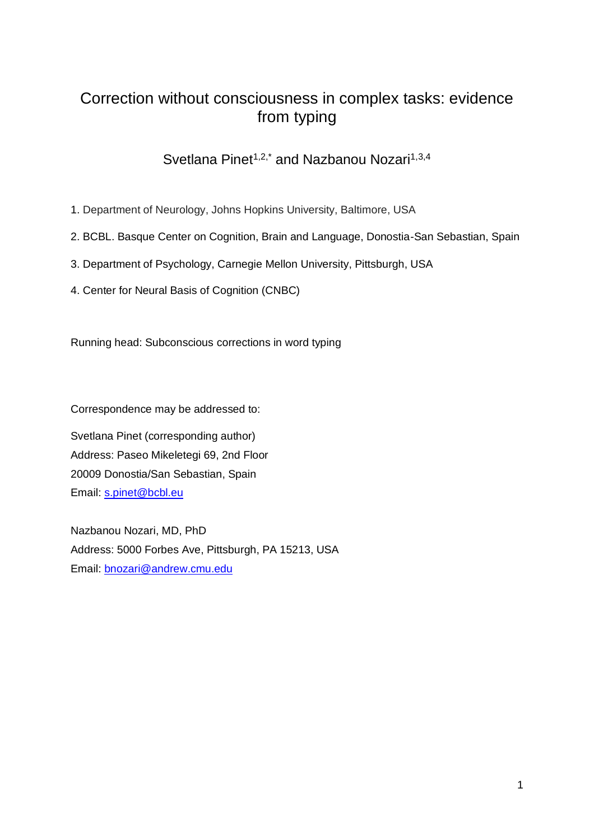# Correction without consciousness in complex tasks: evidence from typing

# Svetlana Pinet<sup>1,2,\*</sup> and Nazbanou Nozari<sup>1,3,4</sup>

- 1. Department of Neurology, Johns Hopkins University, Baltimore, USA
- 2. BCBL. Basque Center on Cognition, Brain and Language, Donostia-San Sebastian, Spain
- 3. Department of Psychology, Carnegie Mellon University, Pittsburgh, USA
- 4. Center for Neural Basis of Cognition (CNBC)

Running head: Subconscious corrections in word typing

Correspondence may be addressed to:

Svetlana Pinet (corresponding author) Address: Paseo Mikeletegi 69, 2nd Floor 20009 Donostia/San Sebastian, Spain Email: [s.pinet@bcbl.eu](mailto:s.pinet@bcbl.eu)

Nazbanou Nozari, MD, PhD Address: 5000 Forbes Ave, Pittsburgh, PA 15213, USA Email: [bnozari@andrew.cmu.edu](mailto:bnozari@andrew.cmu.edu)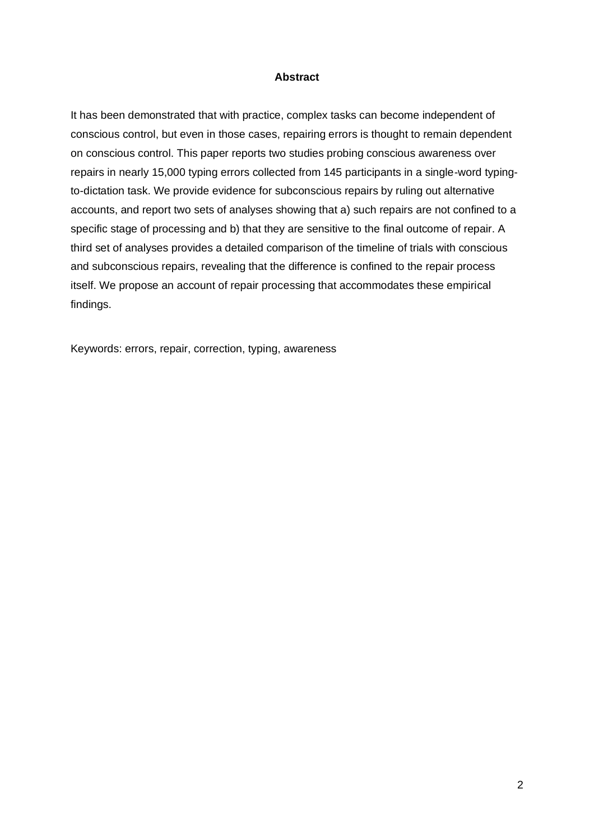#### **Abstract**

It has been demonstrated that with practice, complex tasks can become independent of conscious control, but even in those cases, repairing errors is thought to remain dependent on conscious control. This paper reports two studies probing conscious awareness over repairs in nearly 15,000 typing errors collected from 145 participants in a single-word typingto-dictation task. We provide evidence for subconscious repairs by ruling out alternative accounts, and report two sets of analyses showing that a) such repairs are not confined to a specific stage of processing and b) that they are sensitive to the final outcome of repair. A third set of analyses provides a detailed comparison of the timeline of trials with conscious and subconscious repairs, revealing that the difference is confined to the repair process itself. We propose an account of repair processing that accommodates these empirical findings.

Keywords: errors, repair, correction, typing, awareness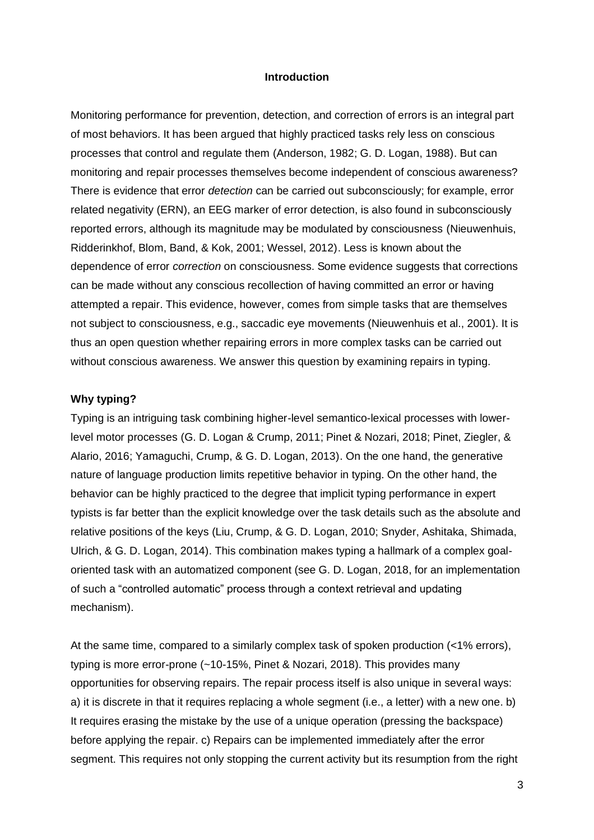#### **Introduction**

Monitoring performance for prevention, detection, and correction of errors is an integral part of most behaviors. It has been argued that highly practiced tasks rely less on conscious processes that control and regulate them (Anderson, 1982; G. D. Logan, 1988). But can monitoring and repair processes themselves become independent of conscious awareness? There is evidence that error *detection* can be carried out subconsciously; for example, error related negativity (ERN), an EEG marker of error detection, is also found in subconsciously reported errors, although its magnitude may be modulated by consciousness (Nieuwenhuis, Ridderinkhof, Blom, Band, & Kok, 2001; Wessel, 2012). Less is known about the dependence of error *correction* on consciousness. Some evidence suggests that corrections can be made without any conscious recollection of having committed an error or having attempted a repair. This evidence, however, comes from simple tasks that are themselves not subject to consciousness, e.g., saccadic eye movements (Nieuwenhuis et al., 2001). It is thus an open question whether repairing errors in more complex tasks can be carried out without conscious awareness. We answer this question by examining repairs in typing.

#### **Why typing?**

Typing is an intriguing task combining higher-level semantico-lexical processes with lowerlevel motor processes (G. D. Logan & Crump, 2011; Pinet & Nozari, 2018; Pinet, Ziegler, & Alario, 2016; Yamaguchi, Crump, & G. D. Logan, 2013). On the one hand, the generative nature of language production limits repetitive behavior in typing. On the other hand, the behavior can be highly practiced to the degree that implicit typing performance in expert typists is far better than the explicit knowledge over the task details such as the absolute and relative positions of the keys (Liu, Crump, & G. D. Logan, 2010; Snyder, Ashitaka, Shimada, Ulrich, & G. D. Logan, 2014). This combination makes typing a hallmark of a complex goaloriented task with an automatized component (see G. D. Logan, 2018, for an implementation of such a "controlled automatic" process through a context retrieval and updating mechanism).

At the same time, compared to a similarly complex task of spoken production (<1% errors), typing is more error-prone (~10-15%, Pinet & Nozari, 2018). This provides many opportunities for observing repairs. The repair process itself is also unique in several ways: a) it is discrete in that it requires replacing a whole segment (i.e., a letter) with a new one. b) It requires erasing the mistake by the use of a unique operation (pressing the backspace) before applying the repair. c) Repairs can be implemented immediately after the error segment. This requires not only stopping the current activity but its resumption from the right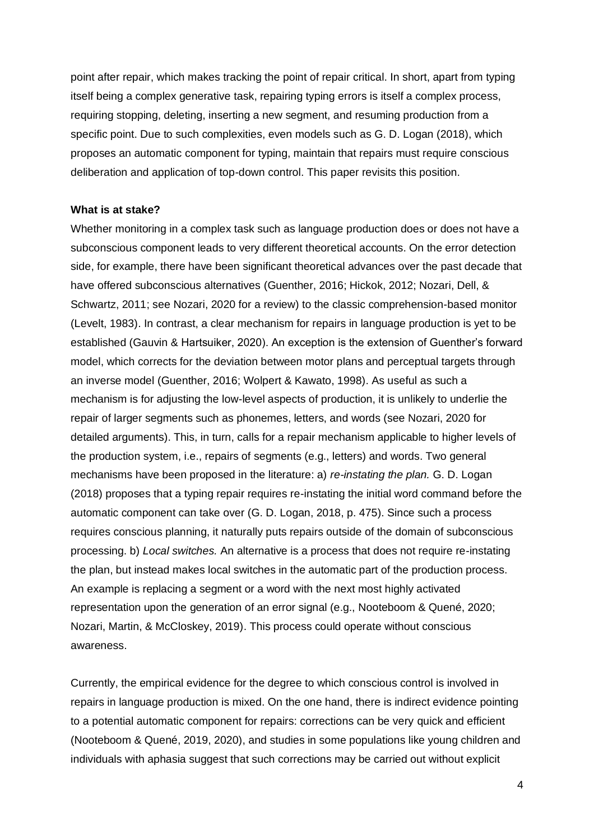point after repair, which makes tracking the point of repair critical. In short, apart from typing itself being a complex generative task, repairing typing errors is itself a complex process, requiring stopping, deleting, inserting a new segment, and resuming production from a specific point. Due to such complexities, even models such as G. D. Logan (2018), which proposes an automatic component for typing, maintain that repairs must require conscious deliberation and application of top-down control. This paper revisits this position.

#### **What is at stake?**

Whether monitoring in a complex task such as language production does or does not have a subconscious component leads to very different theoretical accounts. On the error detection side, for example, there have been significant theoretical advances over the past decade that have offered subconscious alternatives (Guenther, 2016; Hickok, 2012; Nozari, Dell, & Schwartz, 2011; see Nozari, 2020 for a review) to the classic comprehension-based monitor (Levelt, 1983). In contrast, a clear mechanism for repairs in language production is yet to be established (Gauvin & Hartsuiker, 2020). An exception is the extension of Guenther's forward model, which corrects for the deviation between motor plans and perceptual targets through an inverse model (Guenther, 2016; Wolpert & Kawato, 1998). As useful as such a mechanism is for adjusting the low-level aspects of production, it is unlikely to underlie the repair of larger segments such as phonemes, letters, and words (see Nozari, 2020 for detailed arguments). This, in turn, calls for a repair mechanism applicable to higher levels of the production system, i.e., repairs of segments (e.g., letters) and words. Two general mechanisms have been proposed in the literature: a) *re-instating the plan.* G. D. Logan (2018) proposes that a typing repair requires re-instating the initial word command before the automatic component can take over (G. D. Logan, 2018, p. 475). Since such a process requires conscious planning, it naturally puts repairs outside of the domain of subconscious processing. b) *Local switches.* An alternative is a process that does not require re-instating the plan, but instead makes local switches in the automatic part of the production process. An example is replacing a segment or a word with the next most highly activated representation upon the generation of an error signal (e.g., Nooteboom & Quené, 2020; Nozari, Martin, & McCloskey, 2019). This process could operate without conscious awareness.

Currently, the empirical evidence for the degree to which conscious control is involved in repairs in language production is mixed. On the one hand, there is indirect evidence pointing to a potential automatic component for repairs: corrections can be very quick and efficient (Nooteboom & Quené, 2019, 2020), and studies in some populations like young children and individuals with aphasia suggest that such corrections may be carried out without explicit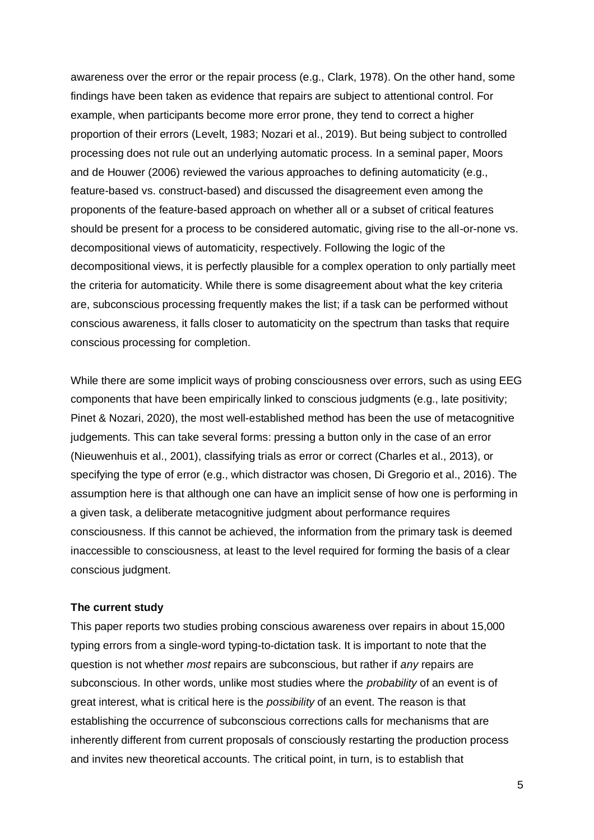awareness over the error or the repair process (e.g., Clark, 1978). On the other hand, some findings have been taken as evidence that repairs are subject to attentional control. For example, when participants become more error prone, they tend to correct a higher proportion of their errors (Levelt, 1983; Nozari et al., 2019). But being subject to controlled processing does not rule out an underlying automatic process. In a seminal paper, Moors and de Houwer (2006) reviewed the various approaches to defining automaticity (e.g., feature-based vs. construct-based) and discussed the disagreement even among the proponents of the feature-based approach on whether all or a subset of critical features should be present for a process to be considered automatic, giving rise to the all-or-none vs. decompositional views of automaticity, respectively. Following the logic of the decompositional views, it is perfectly plausible for a complex operation to only partially meet the criteria for automaticity. While there is some disagreement about what the key criteria are, subconscious processing frequently makes the list; if a task can be performed without conscious awareness, it falls closer to automaticity on the spectrum than tasks that require conscious processing for completion.

While there are some implicit ways of probing consciousness over errors, such as using EEG components that have been empirically linked to conscious judgments (e.g., late positivity; Pinet & Nozari, 2020), the most well-established method has been the use of metacognitive judgements. This can take several forms: pressing a button only in the case of an error (Nieuwenhuis et al., 2001), classifying trials as error or correct (Charles et al., 2013), or specifying the type of error (e.g., which distractor was chosen, Di Gregorio et al., 2016). The assumption here is that although one can have an implicit sense of how one is performing in a given task, a deliberate metacognitive judgment about performance requires consciousness. If this cannot be achieved, the information from the primary task is deemed inaccessible to consciousness, at least to the level required for forming the basis of a clear conscious judgment.

#### **The current study**

This paper reports two studies probing conscious awareness over repairs in about 15,000 typing errors from a single-word typing-to-dictation task. It is important to note that the question is not whether *most* repairs are subconscious, but rather if *any* repairs are subconscious. In other words, unlike most studies where the *probability* of an event is of great interest, what is critical here is the *possibility* of an event. The reason is that establishing the occurrence of subconscious corrections calls for mechanisms that are inherently different from current proposals of consciously restarting the production process and invites new theoretical accounts. The critical point, in turn, is to establish that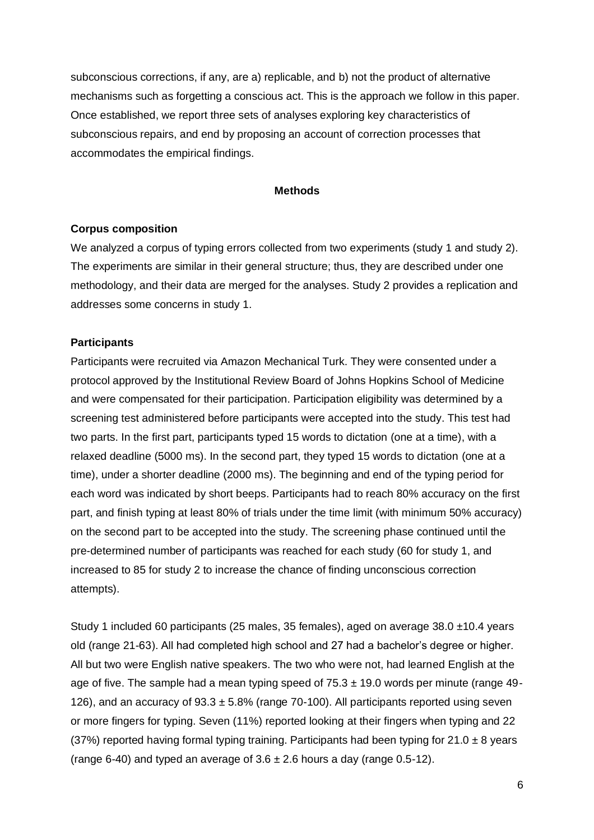subconscious corrections, if any, are a) replicable, and b) not the product of alternative mechanisms such as forgetting a conscious act. This is the approach we follow in this paper. Once established, we report three sets of analyses exploring key characteristics of subconscious repairs, and end by proposing an account of correction processes that accommodates the empirical findings.

#### **Methods**

#### **Corpus composition**

We analyzed a corpus of typing errors collected from two experiments (study 1 and study 2). The experiments are similar in their general structure; thus, they are described under one methodology, and their data are merged for the analyses. Study 2 provides a replication and addresses some concerns in study 1.

#### **Participants**

Participants were recruited via Amazon Mechanical Turk. They were consented under a protocol approved by the Institutional Review Board of Johns Hopkins School of Medicine and were compensated for their participation. Participation eligibility was determined by a screening test administered before participants were accepted into the study. This test had two parts. In the first part, participants typed 15 words to dictation (one at a time), with a relaxed deadline (5000 ms). In the second part, they typed 15 words to dictation (one at a time), under a shorter deadline (2000 ms). The beginning and end of the typing period for each word was indicated by short beeps. Participants had to reach 80% accuracy on the first part, and finish typing at least 80% of trials under the time limit (with minimum 50% accuracy) on the second part to be accepted into the study. The screening phase continued until the pre-determined number of participants was reached for each study (60 for study 1, and increased to 85 for study 2 to increase the chance of finding unconscious correction attempts).

Study 1 included 60 participants (25 males, 35 females), aged on average  $38.0 \pm 10.4$  years old (range 21-63). All had completed high school and 27 had a bachelor's degree or higher. All but two were English native speakers. The two who were not, had learned English at the age of five. The sample had a mean typing speed of  $75.3 \pm 19.0$  words per minute (range 49-126), and an accuracy of  $93.3 \pm 5.8\%$  (range 70-100). All participants reported using seven or more fingers for typing. Seven (11%) reported looking at their fingers when typing and 22 (37%) reported having formal typing training. Participants had been typing for  $21.0 \pm 8$  years (range 6-40) and typed an average of  $3.6 \pm 2.6$  hours a day (range 0.5-12).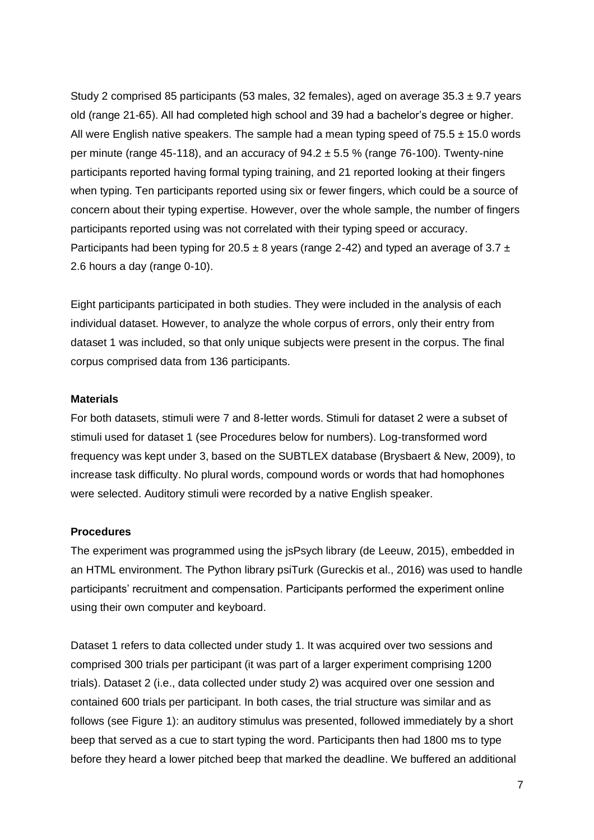Study 2 comprised 85 participants (53 males, 32 females), aged on average  $35.3 \pm 9.7$  years old (range 21-65). All had completed high school and 39 had a bachelor's degree or higher. All were English native speakers. The sample had a mean typing speed of  $75.5 \pm 15.0$  words per minute (range 45-118), and an accuracy of  $94.2 \pm 5.5$  % (range 76-100). Twenty-nine participants reported having formal typing training, and 21 reported looking at their fingers when typing. Ten participants reported using six or fewer fingers, which could be a source of concern about their typing expertise. However, over the whole sample, the number of fingers participants reported using was not correlated with their typing speed or accuracy. Participants had been typing for 20.5  $\pm$  8 years (range 2-42) and typed an average of 3.7  $\pm$ 2.6 hours a day (range 0-10).

Eight participants participated in both studies. They were included in the analysis of each individual dataset. However, to analyze the whole corpus of errors, only their entry from dataset 1 was included, so that only unique subjects were present in the corpus. The final corpus comprised data from 136 participants.

## **Materials**

For both datasets, stimuli were 7 and 8-letter words. Stimuli for dataset 2 were a subset of stimuli used for dataset 1 (see Procedures below for numbers). Log-transformed word frequency was kept under 3, based on the SUBTLEX database (Brysbaert & New, 2009), to increase task difficulty. No plural words, compound words or words that had homophones were selected. Auditory stimuli were recorded by a native English speaker.

#### **Procedures**

The experiment was programmed using the jsPsych library (de Leeuw, 2015), embedded in an HTML environment. The Python library psiTurk (Gureckis et al., 2016) was used to handle participants' recruitment and compensation. Participants performed the experiment online using their own computer and keyboard.

Dataset 1 refers to data collected under study 1. It was acquired over two sessions and comprised 300 trials per participant (it was part of a larger experiment comprising 1200 trials). Dataset 2 (i.e., data collected under study 2) was acquired over one session and contained 600 trials per participant. In both cases, the trial structure was similar and as follows (see Figure 1): an auditory stimulus was presented, followed immediately by a short beep that served as a cue to start typing the word. Participants then had 1800 ms to type before they heard a lower pitched beep that marked the deadline. We buffered an additional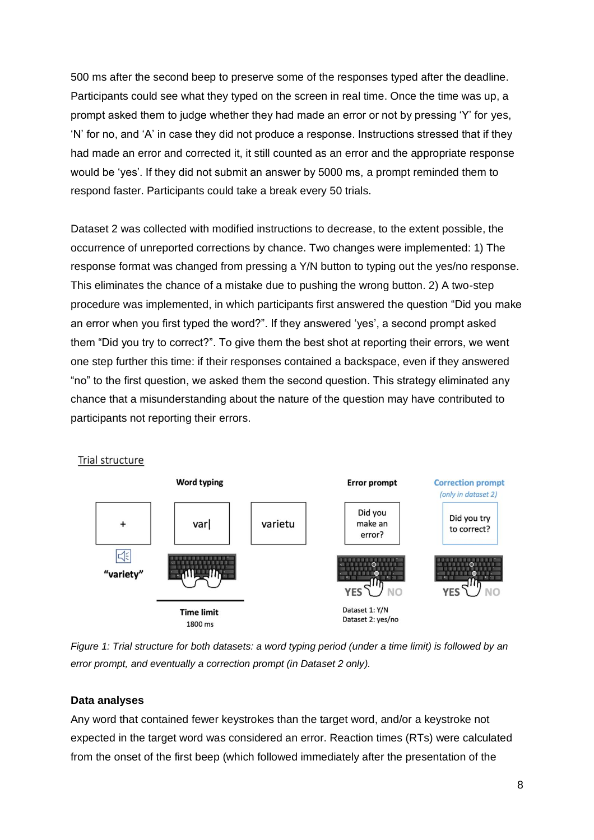500 ms after the second beep to preserve some of the responses typed after the deadline. Participants could see what they typed on the screen in real time. Once the time was up, a prompt asked them to judge whether they had made an error or not by pressing 'Y' for yes, 'N' for no, and 'A' in case they did not produce a response. Instructions stressed that if they had made an error and corrected it, it still counted as an error and the appropriate response would be 'yes'. If they did not submit an answer by 5000 ms, a prompt reminded them to respond faster. Participants could take a break every 50 trials.

Dataset 2 was collected with modified instructions to decrease, to the extent possible, the occurrence of unreported corrections by chance. Two changes were implemented: 1) The response format was changed from pressing a Y/N button to typing out the yes/no response. This eliminates the chance of a mistake due to pushing the wrong button. 2) A two-step procedure was implemented, in which participants first answered the question "Did you make an error when you first typed the word?". If they answered 'yes', a second prompt asked them "Did you try to correct?". To give them the best shot at reporting their errors, we went one step further this time: if their responses contained a backspace, even if they answered "no" to the first question, we asked them the second question. This strategy eliminated any chance that a misunderstanding about the nature of the question may have contributed to participants not reporting their errors.





## **Data analyses**

Any word that contained fewer keystrokes than the target word, and/or a keystroke not expected in the target word was considered an error. Reaction times (RTs) were calculated from the onset of the first beep (which followed immediately after the presentation of the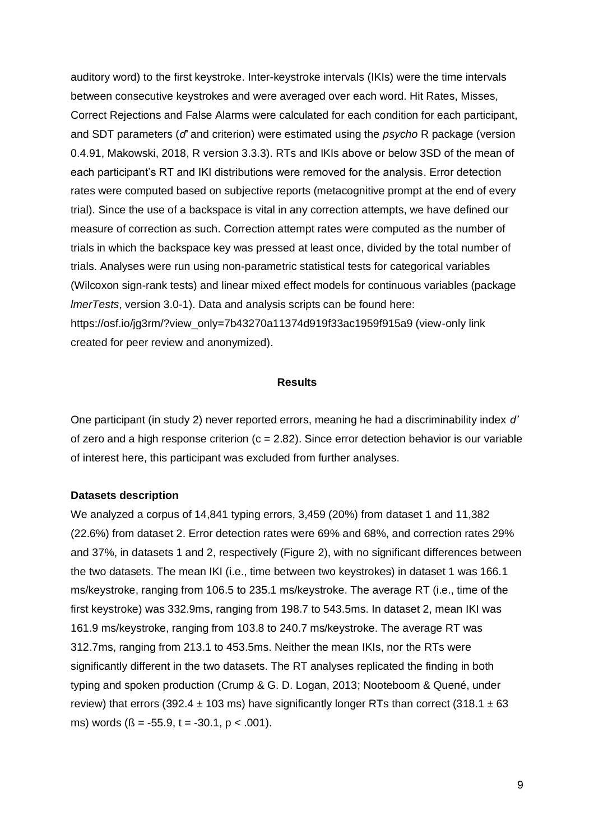auditory word) to the first keystroke. Inter-keystroke intervals (IKIs) were the time intervals between consecutive keystrokes and were averaged over each word. Hit Rates, Misses, Correct Rejections and False Alarms were calculated for each condition for each participant, and SDT parameters (*d́'* and criterion) were estimated using the *psycho* R package (version 0.4.91, Makowski, 2018, R version 3.3.3). RTs and IKIs above or below 3SD of the mean of each participant's RT and IKI distributions were removed for the analysis. Error detection rates were computed based on subjective reports (metacognitive prompt at the end of every trial). Since the use of a backspace is vital in any correction attempts, we have defined our measure of correction as such. Correction attempt rates were computed as the number of trials in which the backspace key was pressed at least once, divided by the total number of trials. Analyses were run using non-parametric statistical tests for categorical variables (Wilcoxon sign-rank tests) and linear mixed effect models for continuous variables (package *lmerTests*, version 3.0-1). Data and analysis scripts can be found here: https://osf.io/jg3rm/?view\_only=7b43270a11374d919f33ac1959f915a9 (view-only link created for peer review and anonymized).

#### **Results**

One participant (in study 2) never reported errors, meaning he had a discriminability index *d'* of zero and a high response criterion ( $c = 2.82$ ). Since error detection behavior is our variable of interest here, this participant was excluded from further analyses.

#### **Datasets description**

We analyzed a corpus of 14,841 typing errors, 3,459 (20%) from dataset 1 and 11,382 (22.6%) from dataset 2. Error detection rates were 69% and 68%, and correction rates 29% and 37%, in datasets 1 and 2, respectively (Figure 2), with no significant differences between the two datasets. The mean IKI (i.e., time between two keystrokes) in dataset 1 was 166.1 ms/keystroke, ranging from 106.5 to 235.1 ms/keystroke. The average RT (i.e., time of the first keystroke) was 332.9ms, ranging from 198.7 to 543.5ms. In dataset 2, mean IKI was 161.9 ms/keystroke, ranging from 103.8 to 240.7 ms/keystroke. The average RT was 312.7ms, ranging from 213.1 to 453.5ms. Neither the mean IKIs, nor the RTs were significantly different in the two datasets. The RT analyses replicated the finding in both typing and spoken production (Crump & G. D. Logan, 2013; Nooteboom & Quené, under review) that errors (392.4  $\pm$  103 ms) have significantly longer RTs than correct (318.1  $\pm$  63 ms) words  $(6 = -55.9, t = -30.1, p < .001)$ .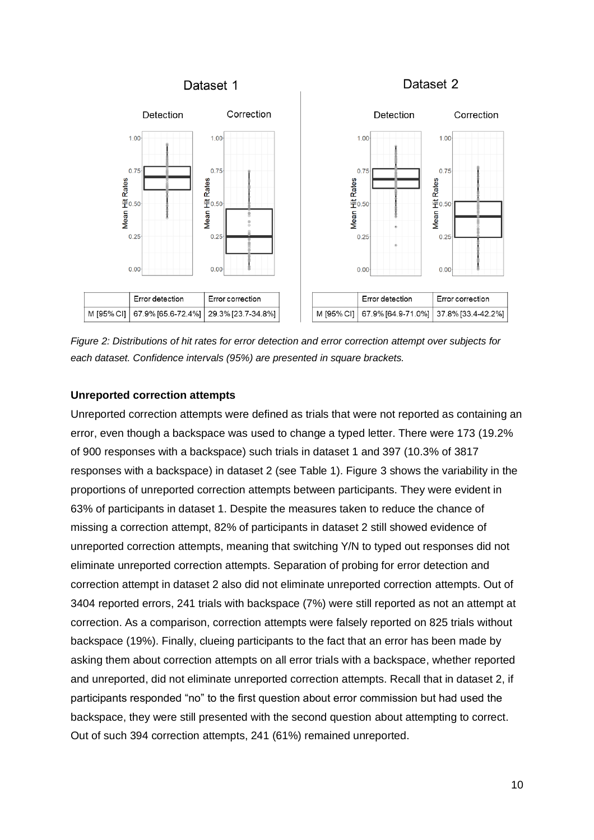

*Figure 2: Distributions of hit rates for error detection and error correction attempt over subjects for each dataset. Confidence intervals (95%) are presented in square brackets.*

## **Unreported correction attempts**

Unreported correction attempts were defined as trials that were not reported as containing an error, even though a backspace was used to change a typed letter. There were 173 (19.2% of 900 responses with a backspace) such trials in dataset 1 and 397 (10.3% of 3817 responses with a backspace) in dataset 2 (see Table 1). Figure 3 shows the variability in the proportions of unreported correction attempts between participants. They were evident in 63% of participants in dataset 1. Despite the measures taken to reduce the chance of missing a correction attempt, 82% of participants in dataset 2 still showed evidence of unreported correction attempts, meaning that switching Y/N to typed out responses did not eliminate unreported correction attempts. Separation of probing for error detection and correction attempt in dataset 2 also did not eliminate unreported correction attempts. Out of 3404 reported errors, 241 trials with backspace (7%) were still reported as not an attempt at correction. As a comparison, correction attempts were falsely reported on 825 trials without backspace (19%). Finally, clueing participants to the fact that an error has been made by asking them about correction attempts on all error trials with a backspace, whether reported and unreported, did not eliminate unreported correction attempts. Recall that in dataset 2, if participants responded "no" to the first question about error commission but had used the backspace, they were still presented with the second question about attempting to correct. Out of such 394 correction attempts, 241 (61%) remained unreported.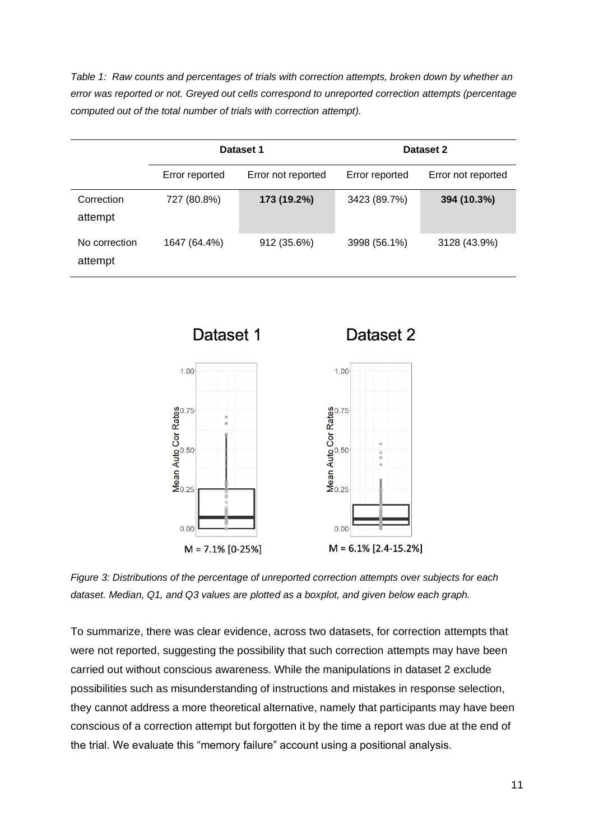*Table 1: Raw counts and percentages of trials with correction attempts, broken down by whether an error was reported or not. Greyed out cells correspond to unreported correction attempts (percentage computed out of the total number of trials with correction attempt).*

|                          |                | Dataset 1          | Dataset 2      |                    |  |  |
|--------------------------|----------------|--------------------|----------------|--------------------|--|--|
|                          | Error reported | Error not reported | Error reported | Error not reported |  |  |
| Correction<br>attempt    | 727 (80.8%)    | 173 (19.2%)        | 3423 (89.7%)   | 394 (10.3%)        |  |  |
| No correction<br>attempt | 1647 (64.4%)   | 912 (35.6%)        | 3998 (56.1%)   | 3128 (43.9%)       |  |  |



*Figure 3: Distributions of the percentage of unreported correction attempts over subjects for each dataset. Median, Q1, and Q3 values are plotted as a boxplot, and given below each graph.*

To summarize, there was clear evidence, across two datasets, for correction attempts that were not reported, suggesting the possibility that such correction attempts may have been carried out without conscious awareness. While the manipulations in dataset 2 exclude possibilities such as misunderstanding of instructions and mistakes in response selection, they cannot address a more theoretical alternative, namely that participants may have been conscious of a correction attempt but forgotten it by the time a report was due at the end of the trial. We evaluate this "memory failure" account using a positional analysis.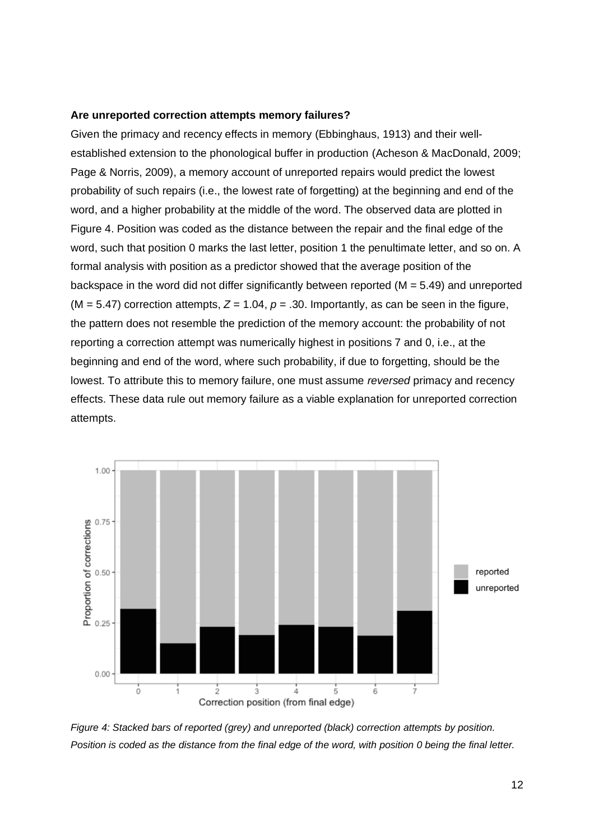#### **Are unreported correction attempts memory failures?**

Given the primacy and recency effects in memory (Ebbinghaus, 1913) and their wellestablished extension to the phonological buffer in production (Acheson & MacDonald, 2009; Page & Norris, 2009), a memory account of unreported repairs would predict the lowest probability of such repairs (i.e., the lowest rate of forgetting) at the beginning and end of the word, and a higher probability at the middle of the word. The observed data are plotted in Figure 4. Position was coded as the distance between the repair and the final edge of the word, such that position 0 marks the last letter, position 1 the penultimate letter, and so on. A formal analysis with position as a predictor showed that the average position of the backspace in the word did not differ significantly between reported (M = 5.49) and unreported  $(M = 5.47)$  correction attempts,  $Z = 1.04$ ,  $p = .30$ . Importantly, as can be seen in the figure, the pattern does not resemble the prediction of the memory account: the probability of not reporting a correction attempt was numerically highest in positions 7 and 0, i.e., at the beginning and end of the word, where such probability, if due to forgetting, should be the lowest. To attribute this to memory failure, one must assume *reversed* primacy and recency effects. These data rule out memory failure as a viable explanation for unreported correction attempts.



*Figure 4: Stacked bars of reported (grey) and unreported (black) correction attempts by position. Position is coded as the distance from the final edge of the word, with position 0 being the final letter.*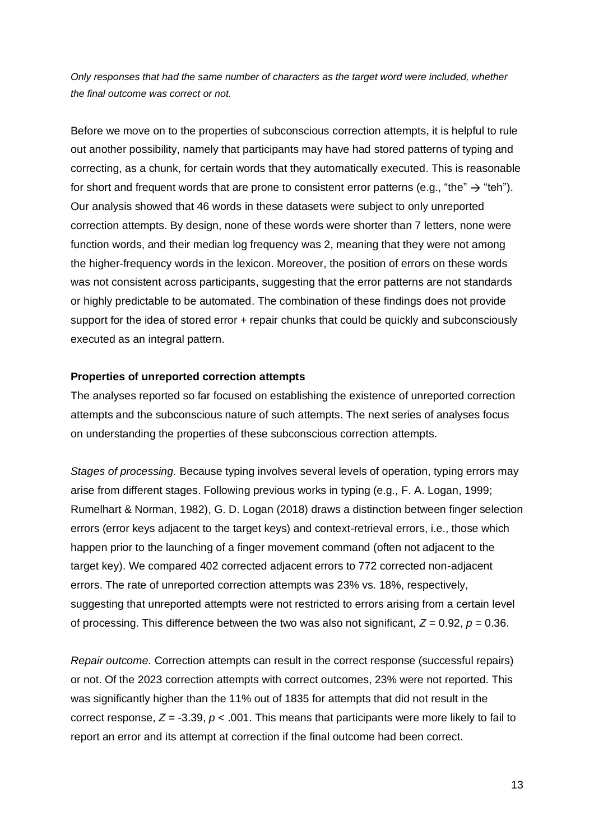*Only responses that had the same number of characters as the target word were included, whether the final outcome was correct or not.* 

Before we move on to the properties of subconscious correction attempts, it is helpful to rule out another possibility, namely that participants may have had stored patterns of typing and correcting, as a chunk, for certain words that they automatically executed. This is reasonable for short and frequent words that are prone to consistent error patterns (e.g., "the"  $\rightarrow$  "teh"). Our analysis showed that 46 words in these datasets were subject to only unreported correction attempts. By design, none of these words were shorter than 7 letters, none were function words, and their median log frequency was 2, meaning that they were not among the higher-frequency words in the lexicon. Moreover, the position of errors on these words was not consistent across participants, suggesting that the error patterns are not standards or highly predictable to be automated. The combination of these findings does not provide support for the idea of stored error + repair chunks that could be quickly and subconsciously executed as an integral pattern.

#### **Properties of unreported correction attempts**

The analyses reported so far focused on establishing the existence of unreported correction attempts and the subconscious nature of such attempts. The next series of analyses focus on understanding the properties of these subconscious correction attempts.

*Stages of processing.* Because typing involves several levels of operation, typing errors may arise from different stages. Following previous works in typing (e.g., F. A. Logan, 1999; Rumelhart & Norman, 1982), G. D. Logan (2018) draws a distinction between finger selection errors (error keys adjacent to the target keys) and context-retrieval errors, i.e., those which happen prior to the launching of a finger movement command (often not adjacent to the target key). We compared 402 corrected adjacent errors to 772 corrected non-adjacent errors. The rate of unreported correction attempts was 23% vs. 18%, respectively, suggesting that unreported attempts were not restricted to errors arising from a certain level of processing. This difference between the two was also not significant,  $Z = 0.92$ ,  $p = 0.36$ .

*Repair outcome.* Correction attempts can result in the correct response (successful repairs) or not. Of the 2023 correction attempts with correct outcomes, 23% were not reported. This was significantly higher than the 11% out of 1835 for attempts that did not result in the correct response,  $Z = -3.39$ ,  $p < .001$ . This means that participants were more likely to fail to report an error and its attempt at correction if the final outcome had been correct.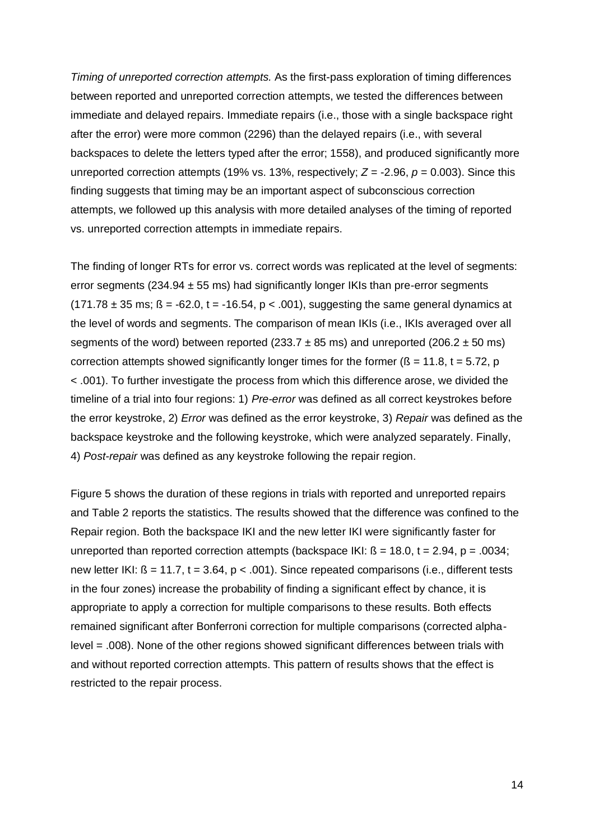*Timing of unreported correction attempts.* As the first-pass exploration of timing differences between reported and unreported correction attempts, we tested the differences between immediate and delayed repairs. Immediate repairs (i.e., those with a single backspace right after the error) were more common (2296) than the delayed repairs (i.e., with several backspaces to delete the letters typed after the error; 1558), and produced significantly more unreported correction attempts (19% vs. 13%, respectively; *Z* = -2.96, *p* = 0.003). Since this finding suggests that timing may be an important aspect of subconscious correction attempts, we followed up this analysis with more detailed analyses of the timing of reported vs. unreported correction attempts in immediate repairs.

The finding of longer RTs for error vs. correct words was replicated at the level of segments: error segments ( $234.94 \pm 55$  ms) had significantly longer IKIs than pre-error segments  $(171.78 \pm 35 \text{ ms}; \beta = -62.0, t = -16.54, p < .001)$ , suggesting the same general dynamics at the level of words and segments. The comparison of mean IKIs (i.e., IKIs averaged over all segments of the word) between reported (233.7  $\pm$  85 ms) and unreported (206.2  $\pm$  50 ms) correction attempts showed significantly longer times for the former ( $\beta$  = 11.8, t = 5.72, p < .001). To further investigate the process from which this difference arose, we divided the timeline of a trial into four regions: 1) *Pre-error* was defined as all correct keystrokes before the error keystroke, 2) *Error* was defined as the error keystroke, 3) *Repair* was defined as the backspace keystroke and the following keystroke, which were analyzed separately. Finally, 4) *Post-repair* was defined as any keystroke following the repair region.

Figure 5 shows the duration of these regions in trials with reported and unreported repairs and Table 2 reports the statistics. The results showed that the difference was confined to the Repair region. Both the backspace IKI and the new letter IKI were significantly faster for unreported than reported correction attempts (backspace  $|K|$ :  $\beta$  = 18.0, t = 2.94, p = .0034; new letter IKI:  $\beta$  = 11.7, t = 3.64, p < .001). Since repeated comparisons (i.e., different tests in the four zones) increase the probability of finding a significant effect by chance, it is appropriate to apply a correction for multiple comparisons to these results. Both effects remained significant after Bonferroni correction for multiple comparisons (corrected alphalevel = .008). None of the other regions showed significant differences between trials with and without reported correction attempts. This pattern of results shows that the effect is restricted to the repair process.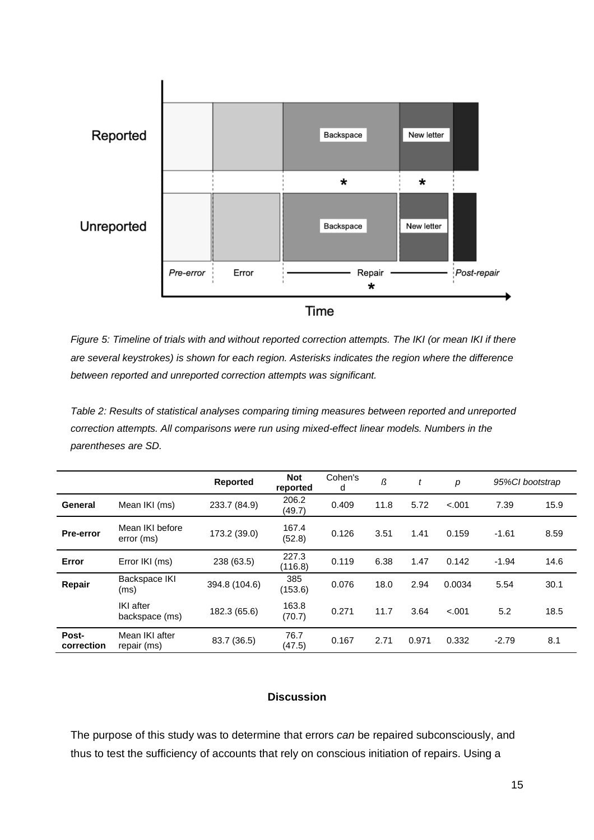

*Figure 5: Timeline of trials with and without reported correction attempts. The IKI (or mean IKI if there are several keystrokes) is shown for each region. Asterisks indicates the region where the difference between reported and unreported correction attempts was significant.*

*Table 2: Results of statistical analyses comparing timing measures between reported and unreported correction attempts. All comparisons were run using mixed-effect linear models. Numbers in the parentheses are SD.*

|                     |                                    | <b>Reported</b> | <b>Not</b><br>reported | Cohen's<br>d | ß    | t     | p      | 95%Cl bootstrap |      |
|---------------------|------------------------------------|-----------------|------------------------|--------------|------|-------|--------|-----------------|------|
| General             | Mean IKI (ms)                      | 233.7 (84.9)    | 206.2<br>(49.7)        | 0.409        | 11.8 | 5.72  | < .001 | 7.39            | 15.9 |
| Pre-error           | Mean IKI before<br>error (ms)      | 173.2 (39.0)    | 167.4<br>(52.8)        | 0.126        | 3.51 | 1.41  | 0.159  | $-1.61$         | 8.59 |
| Error               | Error IKI (ms)                     | 238 (63.5)      | 227.3<br>(116.8)       | 0.119        | 6.38 | 1.47  | 0.142  | $-1.94$         | 14.6 |
| Repair              | Backspace IKI<br>(ms)              | 394.8 (104.6)   | 385<br>(153.6)         | 0.076        | 18.0 | 2.94  | 0.0034 | 5.54            | 30.1 |
|                     | <b>IKI</b> after<br>backspace (ms) | 182.3 (65.6)    | 163.8<br>(70.7)        | 0.271        | 11.7 | 3.64  | < .001 | 5.2             | 18.5 |
| Post-<br>correction | Mean IKI after<br>repair (ms)      | 83.7 (36.5)     | 76.7<br>(47.5)         | 0.167        | 2.71 | 0.971 | 0.332  | $-2.79$         | 8.1  |

## **Discussion**

The purpose of this study was to determine that errors *can* be repaired subconsciously, and thus to test the sufficiency of accounts that rely on conscious initiation of repairs. Using a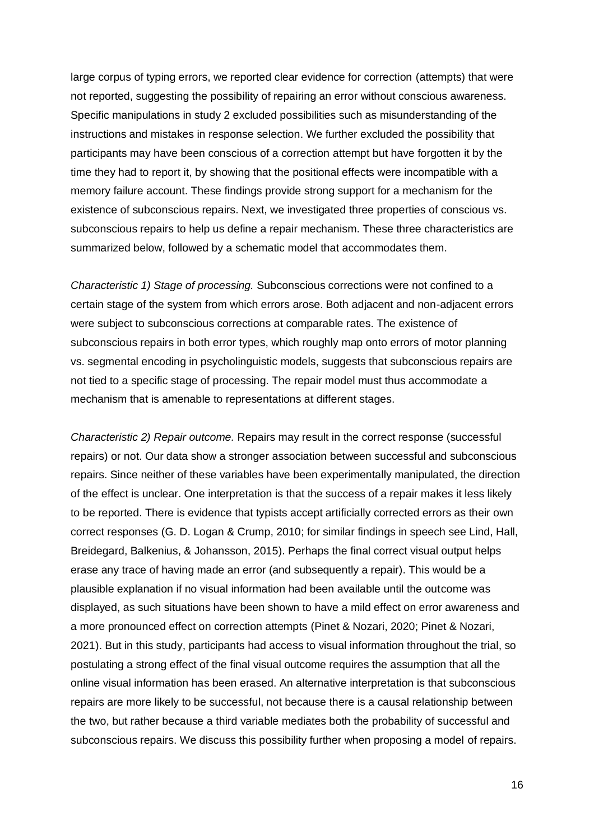large corpus of typing errors, we reported clear evidence for correction (attempts) that were not reported, suggesting the possibility of repairing an error without conscious awareness. Specific manipulations in study 2 excluded possibilities such as misunderstanding of the instructions and mistakes in response selection. We further excluded the possibility that participants may have been conscious of a correction attempt but have forgotten it by the time they had to report it, by showing that the positional effects were incompatible with a memory failure account. These findings provide strong support for a mechanism for the existence of subconscious repairs. Next, we investigated three properties of conscious vs. subconscious repairs to help us define a repair mechanism. These three characteristics are summarized below, followed by a schematic model that accommodates them.

*Characteristic 1) Stage of processing.* Subconscious corrections were not confined to a certain stage of the system from which errors arose. Both adjacent and non-adjacent errors were subject to subconscious corrections at comparable rates. The existence of subconscious repairs in both error types, which roughly map onto errors of motor planning vs. segmental encoding in psycholinguistic models, suggests that subconscious repairs are not tied to a specific stage of processing. The repair model must thus accommodate a mechanism that is amenable to representations at different stages.

*Characteristic 2) Repair outcome.* Repairs may result in the correct response (successful repairs) or not. Our data show a stronger association between successful and subconscious repairs. Since neither of these variables have been experimentally manipulated, the direction of the effect is unclear. One interpretation is that the success of a repair makes it less likely to be reported. There is evidence that typists accept artificially corrected errors as their own correct responses (G. D. Logan & Crump, 2010; for similar findings in speech see Lind, Hall, Breidegard, Balkenius, & Johansson, 2015). Perhaps the final correct visual output helps erase any trace of having made an error (and subsequently a repair). This would be a plausible explanation if no visual information had been available until the outcome was displayed, as such situations have been shown to have a mild effect on error awareness and a more pronounced effect on correction attempts (Pinet & Nozari, 2020; Pinet & Nozari, 2021). But in this study, participants had access to visual information throughout the trial, so postulating a strong effect of the final visual outcome requires the assumption that all the online visual information has been erased. An alternative interpretation is that subconscious repairs are more likely to be successful, not because there is a causal relationship between the two, but rather because a third variable mediates both the probability of successful and subconscious repairs. We discuss this possibility further when proposing a model of repairs.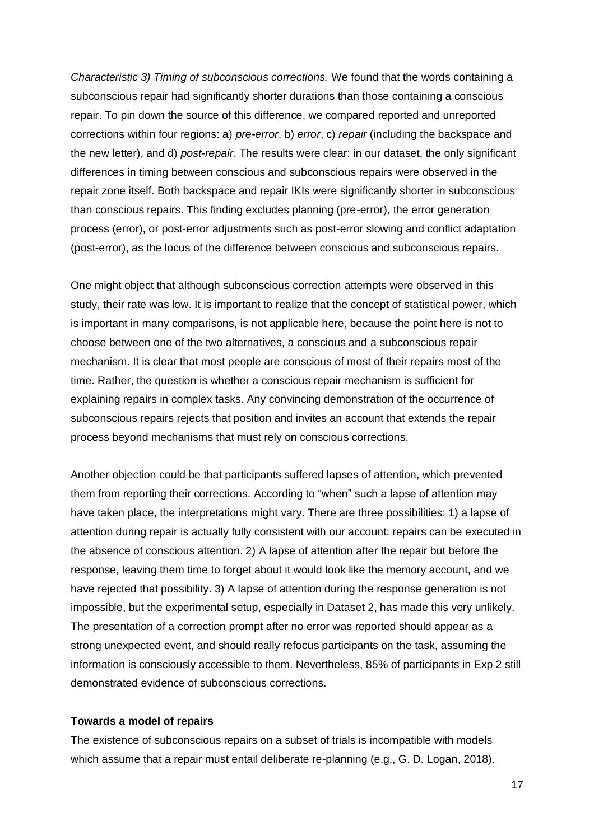*Characteristic 3) Timing of subconscious corrections.* We found that the words containing a subconscious repair had significantly shorter durations than those containing a conscious repair. To pin down the source of this difference, we compared reported and unreported corrections within four regions: a) *pre-error*, b) *error*, c) *repair* (including the backspace and the new letter), and d) *post-repair*. The results were clear: in our dataset, the only significant differences in timing between conscious and subconscious repairs were observed in the repair zone itself. Both backspace and repair IKIs were significantly shorter in subconscious than conscious repairs. This finding excludes planning (pre-error), the error generation process (error), or post-error adjustments such as post-error slowing and conflict adaptation (post-error), as the locus of the difference between conscious and subconscious repairs.

One might object that although subconscious correction attempts were observed in this study, their rate was low. It is important to realize that the concept of statistical power, which is important in many comparisons, is not applicable here, because the point here is not to choose between one of the two alternatives, a conscious and a subconscious repair mechanism. It is clear that most people are conscious of most of their repairs most of the time. Rather, the question is whether a conscious repair mechanism is sufficient for explaining repairs in complex tasks. Any convincing demonstration of the occurrence of subconscious repairs rejects that position and invites an account that extends the repair process beyond mechanisms that must rely on conscious corrections.

Another objection could be that participants suffered lapses of attention, which prevented them from reporting their corrections. According to "when" such a lapse of attention may have taken place, the interpretations might vary. There are three possibilities: 1) a lapse of attention during repair is actually fully consistent with our account: repairs can be executed in the absence of conscious attention. 2) A lapse of attention after the repair but before the response, leaving them time to forget about it would look like the memory account, and we have rejected that possibility. 3) A lapse of attention during the response generation is not impossible, but the experimental setup, especially in Dataset 2, has made this very unlikely. The presentation of a correction prompt after no error was reported should appear as a strong unexpected event, and should really refocus participants on the task, assuming the information is consciously accessible to them. Nevertheless, 85% of participants in Exp 2 still demonstrated evidence of subconscious corrections.

#### **Towards a model of repairs**

The existence of subconscious repairs on a subset of trials is incompatible with models which assume that a repair must entail deliberate re-planning (e.g., G. D. Logan, 2018).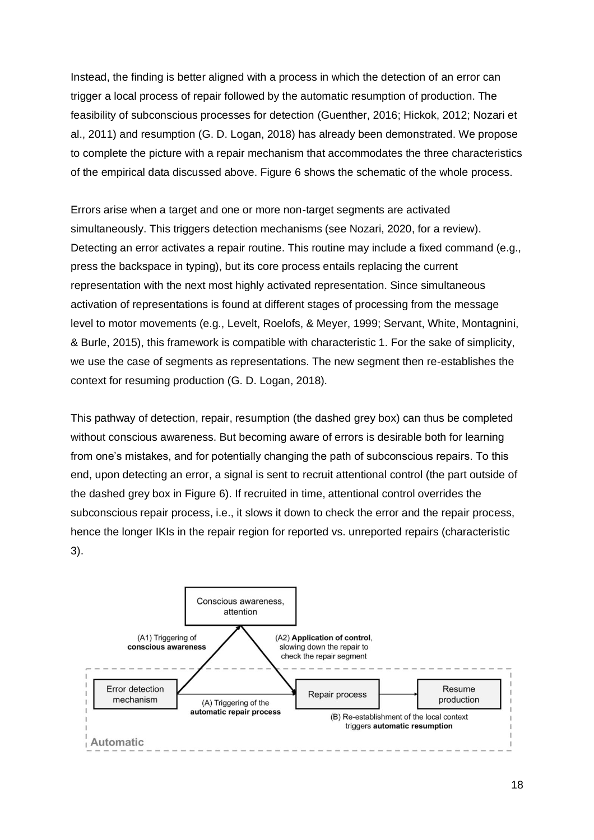Instead, the finding is better aligned with a process in which the detection of an error can trigger a local process of repair followed by the automatic resumption of production. The feasibility of subconscious processes for detection (Guenther, 2016; Hickok, 2012; Nozari et al., 2011) and resumption (G. D. Logan, 2018) has already been demonstrated. We propose to complete the picture with a repair mechanism that accommodates the three characteristics of the empirical data discussed above. Figure 6 shows the schematic of the whole process.

Errors arise when a target and one or more non-target segments are activated simultaneously. This triggers detection mechanisms (see Nozari, 2020, for a review). Detecting an error activates a repair routine. This routine may include a fixed command (e.g., press the backspace in typing), but its core process entails replacing the current representation with the next most highly activated representation. Since simultaneous activation of representations is found at different stages of processing from the message level to motor movements (e.g., Levelt, Roelofs, & Meyer, 1999; Servant, White, Montagnini, & Burle, 2015), this framework is compatible with characteristic 1. For the sake of simplicity, we use the case of segments as representations. The new segment then re-establishes the context for resuming production (G. D. Logan, 2018).

This pathway of detection, repair, resumption (the dashed grey box) can thus be completed without conscious awareness. But becoming aware of errors is desirable both for learning from one's mistakes, and for potentially changing the path of subconscious repairs. To this end, upon detecting an error, a signal is sent to recruit attentional control (the part outside of the dashed grey box in Figure 6). If recruited in time, attentional control overrides the subconscious repair process, i.e., it slows it down to check the error and the repair process, hence the longer IKIs in the repair region for reported vs. unreported repairs (characteristic 3).

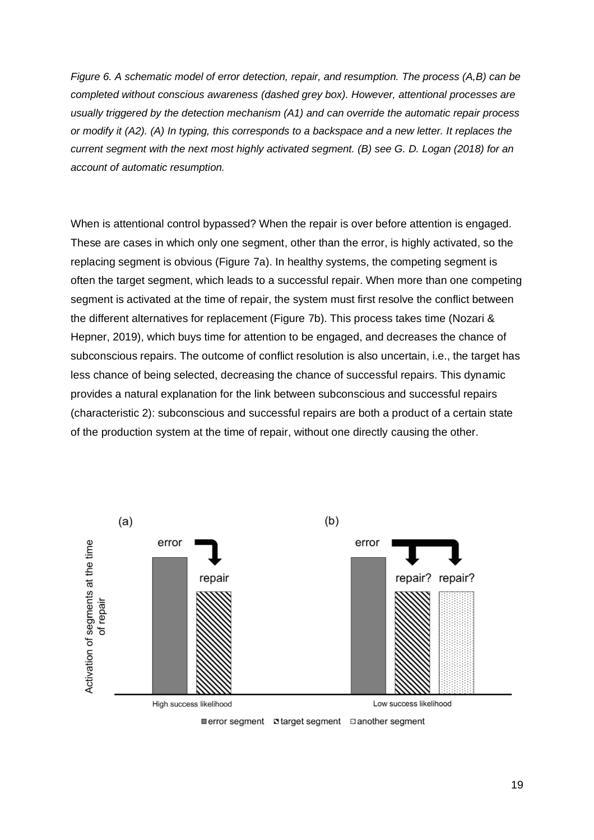*Figure 6. A schematic model of error detection, repair, and resumption. The process (A,B) can be completed without conscious awareness (dashed grey box). However, attentional processes are usually triggered by the detection mechanism (A1) and can override the automatic repair process or modify it (A2). (A) In typing, this corresponds to a backspace and a new letter. It replaces the current segment with the next most highly activated segment. (B) see G. D. Logan (2018) for an account of automatic resumption.*

When is attentional control bypassed? When the repair is over before attention is engaged. These are cases in which only one segment, other than the error, is highly activated, so the replacing segment is obvious (Figure 7a). In healthy systems, the competing segment is often the target segment, which leads to a successful repair. When more than one competing segment is activated at the time of repair, the system must first resolve the conflict between the different alternatives for replacement (Figure 7b). This process takes time (Nozari & Hepner, 2019), which buys time for attention to be engaged, and decreases the chance of subconscious repairs. The outcome of conflict resolution is also uncertain, i.e., the target has less chance of being selected, decreasing the chance of successful repairs. This dynamic provides a natural explanation for the link between subconscious and successful repairs (characteristic 2): subconscious and successful repairs are both a product of a certain state of the production system at the time of repair, without one directly causing the other.

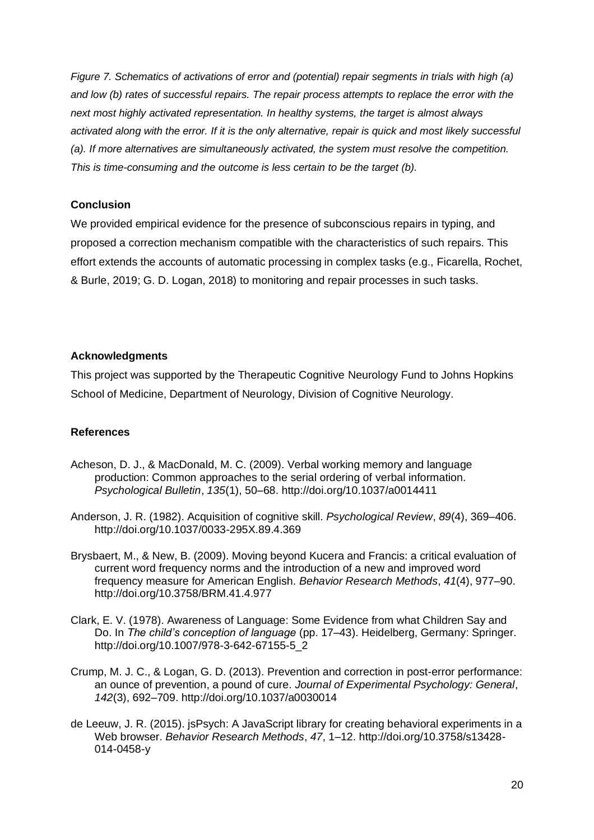*Figure 7. Schematics of activations of error and (potential) repair segments in trials with high (a) and low (b) rates of successful repairs. The repair process attempts to replace the error with the next most highly activated representation. In healthy systems, the target is almost always activated along with the error. If it is the only alternative, repair is quick and most likely successful (a). If more alternatives are simultaneously activated, the system must resolve the competition. This is time-consuming and the outcome is less certain to be the target (b).* 

## **Conclusion**

We provided empirical evidence for the presence of subconscious repairs in typing, and proposed a correction mechanism compatible with the characteristics of such repairs. This effort extends the accounts of automatic processing in complex tasks (e.g., Ficarella, Rochet, & Burle, 2019; G. D. Logan, 2018) to monitoring and repair processes in such tasks.

## **Acknowledgments**

This project was supported by the Therapeutic Cognitive Neurology Fund to Johns Hopkins School of Medicine, Department of Neurology, Division of Cognitive Neurology.

# **References**

- Acheson, D. J., & MacDonald, M. C. (2009). Verbal working memory and language production: Common approaches to the serial ordering of verbal information. *Psychological Bulletin*, *135*(1), 50–68. http://doi.org/10.1037/a0014411
- Anderson, J. R. (1982). Acquisition of cognitive skill. *Psychological Review*, *89*(4), 369–406. http://doi.org/10.1037/0033-295X.89.4.369
- Brysbaert, M., & New, B. (2009). Moving beyond Kucera and Francis: a critical evaluation of current word frequency norms and the introduction of a new and improved word frequency measure for American English. *Behavior Research Methods*, *41*(4), 977–90. http://doi.org/10.3758/BRM.41.4.977
- Clark, E. V. (1978). Awareness of Language: Some Evidence from what Children Say and Do. In *The child's conception of language* (pp. 17–43). Heidelberg, Germany: Springer. http://doi.org/10.1007/978-3-642-67155-5\_2
- Crump, M. J. C., & Logan, G. D. (2013). Prevention and correction in post-error performance: an ounce of prevention, a pound of cure. *Journal of Experimental Psychology: General*, *142*(3), 692–709. http://doi.org/10.1037/a0030014
- de Leeuw, J. R. (2015). jsPsych: A JavaScript library for creating behavioral experiments in a Web browser. *Behavior Research Methods*, *47*, 1–12. http://doi.org/10.3758/s13428- 014-0458-y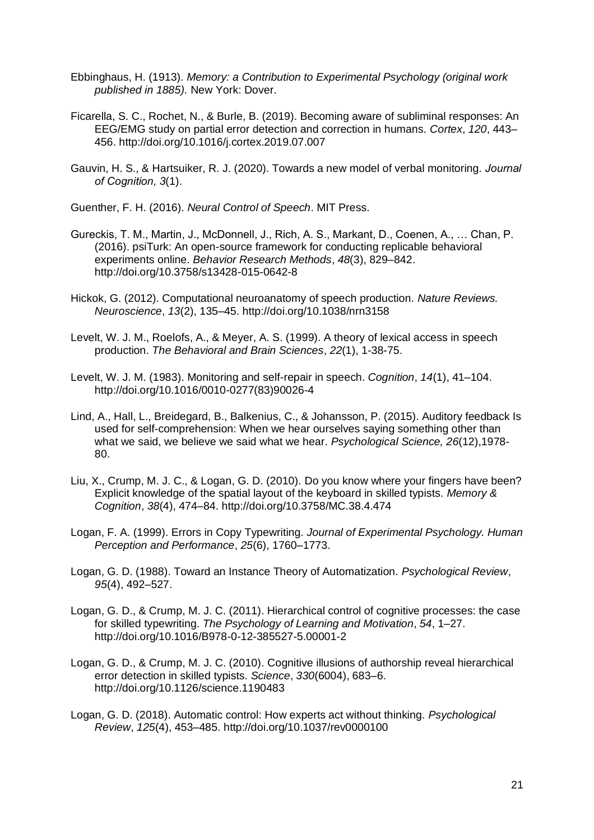- Ebbinghaus, H. (1913). *Memory: a Contribution to Experimental Psychology (original work published in 1885).* New York: Dover.
- Ficarella, S. C., Rochet, N., & Burle, B. (2019). Becoming aware of subliminal responses: An EEG/EMG study on partial error detection and correction in humans. *Cortex*, *120*, 443– 456. http://doi.org/10.1016/j.cortex.2019.07.007
- Gauvin, H. S., & Hartsuiker, R. J. (2020). Towards a new model of verbal monitoring. *Journal of Cognition, 3*(1).
- Guenther, F. H. (2016). *Neural Control of Speech*. MIT Press.
- Gureckis, T. M., Martin, J., McDonnell, J., Rich, A. S., Markant, D., Coenen, A., … Chan, P. (2016). psiTurk: An open-source framework for conducting replicable behavioral experiments online. *Behavior Research Methods*, *48*(3), 829–842. http://doi.org/10.3758/s13428-015-0642-8
- Hickok, G. (2012). Computational neuroanatomy of speech production. *Nature Reviews. Neuroscience*, *13*(2), 135–45. http://doi.org/10.1038/nrn3158
- Levelt, W. J. M., Roelofs, A., & Meyer, A. S. (1999). A theory of lexical access in speech production. *The Behavioral and Brain Sciences*, *22*(1), 1-38-75.
- Levelt, W. J. M. (1983). Monitoring and self-repair in speech. *Cognition*, *14*(1), 41–104. http://doi.org/10.1016/0010-0277(83)90026-4
- Lind, A., Hall, L., Breidegard, B., Balkenius, C., & Johansson, P. (2015). Auditory feedback Is used for self-comprehension: When we hear ourselves saying something other than what we said, we believe we said what we hear. *Psychological Science, 26*(12),1978- 80.
- Liu, X., Crump, M. J. C., & Logan, G. D. (2010). Do you know where your fingers have been? Explicit knowledge of the spatial layout of the keyboard in skilled typists. *Memory & Cognition*, *38*(4), 474–84. http://doi.org/10.3758/MC.38.4.474
- Logan, F. A. (1999). Errors in Copy Typewriting. *Journal of Experimental Psychology. Human Perception and Performance*, *25*(6), 1760–1773.
- Logan, G. D. (1988). Toward an Instance Theory of Automatization. *Psychological Review*, *95*(4), 492–527.
- Logan, G. D., & Crump, M. J. C. (2011). Hierarchical control of cognitive processes: the case for skilled typewriting. *The Psychology of Learning and Motivation*, *54*, 1–27. http://doi.org/10.1016/B978-0-12-385527-5.00001-2
- Logan, G. D., & Crump, M. J. C. (2010). Cognitive illusions of authorship reveal hierarchical error detection in skilled typists. *Science*, *330*(6004), 683–6. http://doi.org/10.1126/science.1190483
- Logan, G. D. (2018). Automatic control: How experts act without thinking. *Psychological Review*, *125*(4), 453–485. http://doi.org/10.1037/rev0000100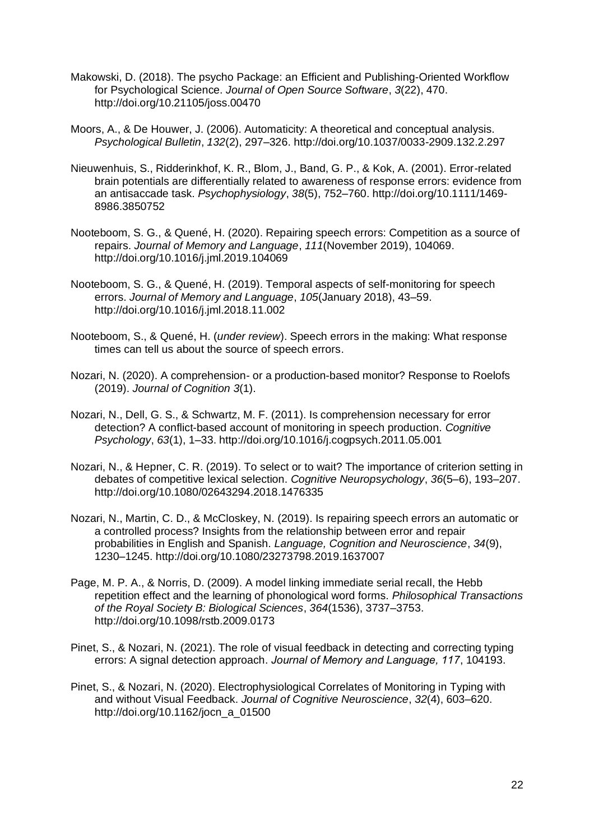- Makowski, D. (2018). The psycho Package: an Efficient and Publishing-Oriented Workflow for Psychological Science. *Journal of Open Source Software*, *3*(22), 470. http://doi.org/10.21105/joss.00470
- Moors, A., & De Houwer, J. (2006). Automaticity: A theoretical and conceptual analysis. *Psychological Bulletin*, *132*(2), 297–326. http://doi.org/10.1037/0033-2909.132.2.297
- Nieuwenhuis, S., Ridderinkhof, K. R., Blom, J., Band, G. P., & Kok, A. (2001). Error-related brain potentials are differentially related to awareness of response errors: evidence from an antisaccade task. *Psychophysiology*, *38*(5), 752–760. http://doi.org/10.1111/1469- 8986.3850752
- Nooteboom, S. G., & Quené, H. (2020). Repairing speech errors: Competition as a source of repairs. *Journal of Memory and Language*, *111*(November 2019), 104069. http://doi.org/10.1016/j.jml.2019.104069
- Nooteboom, S. G., & Quené, H. (2019). Temporal aspects of self-monitoring for speech errors. *Journal of Memory and Language*, *105*(January 2018), 43–59. http://doi.org/10.1016/j.jml.2018.11.002
- Nooteboom, S., & Quené, H. (*under review*). Speech errors in the making: What response times can tell us about the source of speech errors.
- Nozari, N. (2020). A comprehension- or a production-based monitor? Response to Roelofs (2019). *Journal of Cognition 3*(1).
- Nozari, N., Dell, G. S., & Schwartz, M. F. (2011). Is comprehension necessary for error detection? A conflict-based account of monitoring in speech production. *Cognitive Psychology*, *63*(1), 1–33. http://doi.org/10.1016/j.cogpsych.2011.05.001
- Nozari, N., & Hepner, C. R. (2019). To select or to wait? The importance of criterion setting in debates of competitive lexical selection. *Cognitive Neuropsychology*, *36*(5–6), 193–207. http://doi.org/10.1080/02643294.2018.1476335
- Nozari, N., Martin, C. D., & McCloskey, N. (2019). Is repairing speech errors an automatic or a controlled process? Insights from the relationship between error and repair probabilities in English and Spanish. *Language, Cognition and Neuroscience*, *34*(9), 1230–1245. http://doi.org/10.1080/23273798.2019.1637007
- Page, M. P. A., & Norris, D. (2009). A model linking immediate serial recall, the Hebb repetition effect and the learning of phonological word forms. *Philosophical Transactions of the Royal Society B: Biological Sciences*, *364*(1536), 3737–3753. http://doi.org/10.1098/rstb.2009.0173
- Pinet, S., & Nozari, N. (2021). The role of visual feedback in detecting and correcting typing errors: A signal detection approach. *Journal of Memory and Language, 117*, 104193.
- Pinet, S., & Nozari, N. (2020). Electrophysiological Correlates of Monitoring in Typing with and without Visual Feedback. *Journal of Cognitive Neuroscience*, *32*(4), 603–620. http://doi.org/10.1162/jocn\_a\_01500